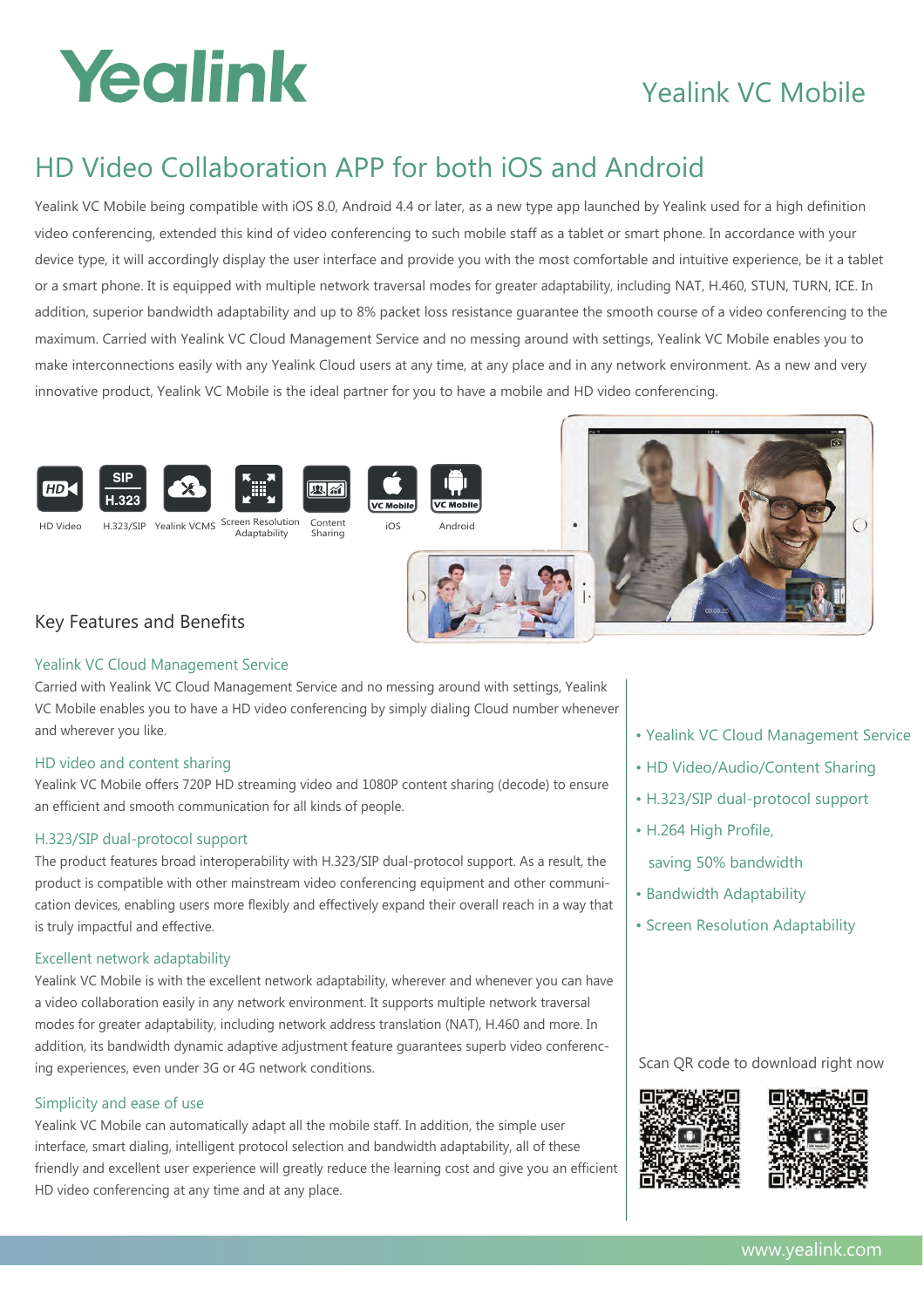## Yealink

### Yealink VC Mobile

### HD Video Collaboration APP for both iOS and Android

Yealink VC Mobile being compatible with iOS 8.0, Android 4.4 or later, as a new type app launched by Yealink used for a high definition video conferencing, extended this kind of video conferencing to such mobile staff as a tablet or smart phone. In accordance with your device type, it will accordingly display the user interface and provide you with the most comfortable and intuitive experience, be it a tablet or a smart phone. It is equipped with multiple network traversal modes for greater adaptability, including NAT, H.460, STUN, TURN, ICE. In addition, superior bandwidth adaptability and up to 8% packet loss resistance guarantee the smooth course of a video conferencing to the maximum. Carried with Yealink VC Cloud Management Service and no messing around with settings, Yealink VC Mobile enables you to make interconnections easily with any Yealink Cloud users at any time, at any place and in any network environment. As a new and very innovative product, Yealink VC Mobile is the ideal partner for you to have a mobile and HD video conferencing.



#### Yealink VC Cloud Management Service

Carried with Yealink VC Cloud Management Service and no messing around with settings, Yealink VC Mobile enables you to have a HD video conferencing by simply dialing Cloud number whenever and wherever you like.

#### HD video and content sharing

Yealink VC Mobile offers 720P HD streaming video and 1080P content sharing (decode) to ensure an efficient and smooth communication for all kinds of people.

#### H.323/SIP dual-protocol support

The product features broad interoperability with H.323/SIP dual-protocol support. As a result, the product is compatible with other mainstream video conferencing equipment and other communication devices, enabling users more flexibly and effectively expand their overall reach in a way that is truly impactful and effective.

#### Excellent network adaptability

Yealink VC Mobile is with the excellent network adaptability, wherever and whenever you can have a video collaboration easily in any network environment. It supports multiple network traversal modes for greater adaptability, including network address translation (NAT), H.460 and more. In addition, its bandwidth dynamic adaptive adjustment feature guarantees superb video conferencing experiences, even under 3G or 4G network conditions.

#### Simplicity and ease of use

Yealink VC Mobile can automatically adapt all the mobile staff. In addition, the simple user interface, smart dialing, intelligent protocol selection and bandwidth adaptability, all of these friendly and excellent user experience will greatly reduce the learning cost and give you an efficient HD video conferencing at any time and at any place.

- Yealink VC Cloud Management Service
- HD Video/Audio/Content Sharing
- H.323/SIP dual-protocol support
- H.264 High Profile,
	- saving 50% bandwidth
- Bandwidth Adaptability
- Screen Resolution Adaptability

#### Scan QR code to download right now